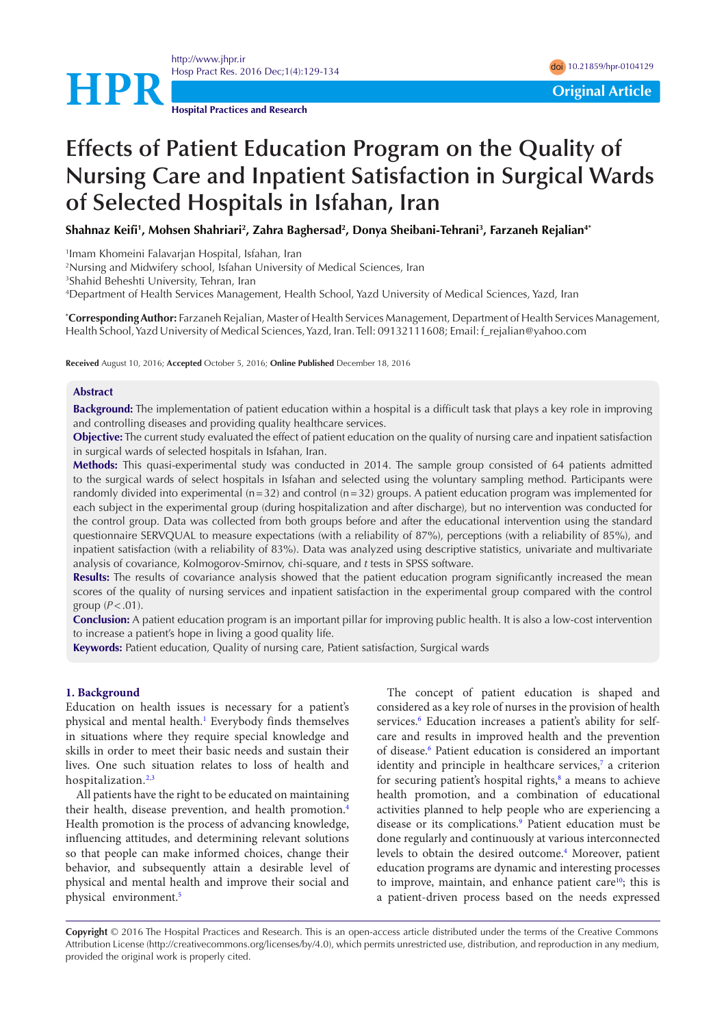<http://www.jhpr.ir> Hosp Pract Res. 2016 Dec;1(4):129-134 doi [10.21859/hpr-0104129](http://dx.doi.org/10.21859/hpr-0104129)



**Hospital Practices and Research**

# **Effects of Patient Education Program on the Quality of Nursing Care and Inpatient Satisfaction in Surgical Wards of Selected Hospitals in Isfahan, Iran**

**Shahnaz Keifi1 , Mohsen Shahriari2 , Zahra Baghersad2 , Donya Sheibani-Tehrani3 , Farzaneh Rejalian4\***

1 Imam Khomeini Falavarjan Hospital, Isfahan, Iran

2 Nursing and Midwifery school, Isfahan University of Medical Sciences, Iran

3 Shahid Beheshti University, Tehran, Iran

4 Department of Health Services Management, Health School, Yazd University of Medical Sciences, Yazd, Iran

**\* Corresponding Author:** Farzaneh Rejalian, Master of Health Services Management, Department of Health Services Management, Health School, Yazd University of Medical Sciences, Yazd, Iran. Tell: 09132111608; Email: f\_rejalian@yahoo.com

**Received** August 10, 2016; **Accepted** October 5, 2016; **Online Published** December 18, 2016

#### **Abstract**

**Background:** The implementation of patient education within a hospital is a difficult task that plays a key role in improving and controlling diseases and providing quality healthcare services.

**Objective:** The current study evaluated the effect of patient education on the quality of nursing care and inpatient satisfaction in surgical wards of selected hospitals in Isfahan, Iran.

**Methods:** This quasi-experimental study was conducted in 2014. The sample group consisted of 64 patients admitted to the surgical wards of select hospitals in Isfahan and selected using the voluntary sampling method. Participants were randomly divided into experimental (n=32) and control (n=32) groups. A patient education program was implemented for each subject in the experimental group (during hospitalization and after discharge), but no intervention was conducted for the control group. Data was collected from both groups before and after the educational intervention using the standard questionnaire SERVQUAL to measure expectations (with a reliability of 87%), perceptions (with a reliability of 85%), and inpatient satisfaction (with a reliability of 83%). Data was analyzed using descriptive statistics, univariate and multivariate analysis of covariance, Kolmogorov-Smirnov, chi-square, and *t* tests in SPSS software.

**Results:** The results of covariance analysis showed that the patient education program significantly increased the mean scores of the quality of nursing services and inpatient satisfaction in the experimental group compared with the control group  $(P < .01)$ .

**Conclusion:** A patient education program is an important pillar for improving public health. It is also a low-cost intervention to increase a patient's hope in living a good quality life.

**Keywords:** Patient education, Quality of nursing care, Patient satisfaction, Surgical wards

## **1. Background**

Education on health issues is necessary for a patient's physical and mental health.<sup>1</sup> Everybody finds themselves in situations where they require special knowledge and skills in order to meet their basic needs and sustain their lives. One such situation relates to loss of health and hospitalization.<sup>[2,](#page-4-1)[3](#page-4-2)</sup>

All patients have the right to be educated on maintaining their health, disease prevention, and health promotion.[4](#page-4-3) Health promotion is the process of advancing knowledge, influencing attitudes, and determining relevant solutions so that people can make informed choices, change their behavior, and subsequently attain a desirable level of physical and mental health and improve their social and physical environment[.5](#page-4-4)

The concept of patient education is shaped and considered as a key role of nurses in the provision of health services.<sup>[6](#page-4-5)</sup> Education increases a patient's ability for selfcare and results in improved health and the prevention of disease.<sup>[6](#page-4-5)</sup> Patient education is considered an important identity and principle in healthcare services,<sup>7</sup> a criterion for securing patient's hospital rights,<sup>8</sup> a means to achieve health promotion, and a combination of educational activities planned to help people who are experiencing a disease or its complications.[9](#page-4-8) Patient education must be done regularly and continuously at various interconnected levels to obtain the desired outcome[.4](#page-4-3) Moreover, patient education programs are dynamic and interesting processes to improve, maintain, and enhance patient care<sup>10</sup>; this is a patient-driven process based on the needs expressed

**Copyright** © 2016 The Hospital Practices and Research. This is an open-access article distributed under the terms of the Creative Commons Attribution License (http://creativecommons.org/licenses/by/4.0), which permits unrestricted use, distribution, and reproduction in any medium, provided the original work is properly cited.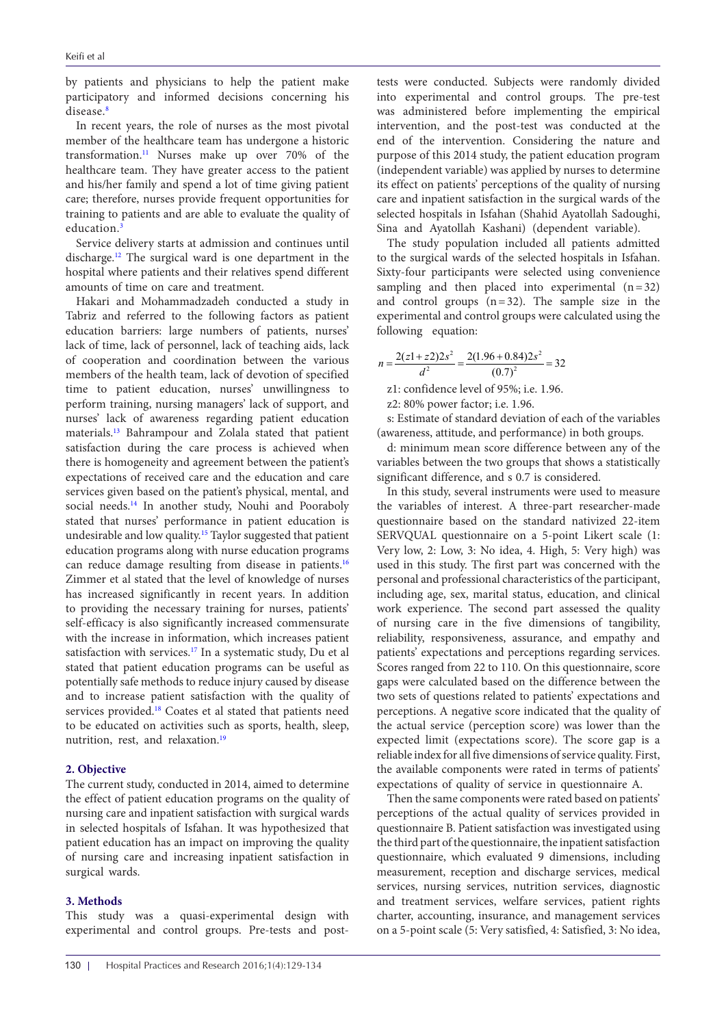by patients and physicians to help the patient make participatory and informed decisions concerning his disease<sup>[8](#page-4-7)</sup>

In recent years, the role of nurses as the most pivotal member of the healthcare team has undergone a historic transformation.[11](#page-4-10) Nurses make up over 70% of the healthcare team. They have greater access to the patient and his/her family and spend a lot of time giving patient care; therefore, nurses provide frequent opportunities for training to patients and are able to evaluate the quality of education.<sup>3</sup>

Service delivery starts at admission and continues until discharge[.12](#page-4-11) The surgical ward is one department in the hospital where patients and their relatives spend different amounts of time on care and treatment.

Hakari and Mohammadzadeh conducted a study in Tabriz and referred to the following factors as patient education barriers: large numbers of patients, nurses' lack of time, lack of personnel, lack of teaching aids, lack of cooperation and coordination between the various members of the health team, lack of devotion of specified time to patient education, nurses' unwillingness to perform training, nursing managers' lack of support, and nurses' lack of awareness regarding patient education materials.[13](#page-4-12) Bahrampour and Zolala stated that patient satisfaction during the care process is achieved when there is homogeneity and agreement between the patient's expectations of received care and the education and care services given based on the patient's physical, mental, and social needs.<sup>[14](#page-4-13)</sup> In another study, Nouhi and Pooraboly stated that nurses' performance in patient education is undesirable and low quality.[15](#page-4-14) Taylor suggested that patient education programs along with nurse education programs can reduce damage resulting from disease in patients.<sup>[16](#page-4-15)</sup> Zimmer et al stated that the level of knowledge of nurses has increased significantly in recent years. In addition to providing the necessary training for nurses, patients' self-efficacy is also significantly increased commensurate with the increase in information, which increases patient satisfaction with services.<sup>17</sup> In a systematic study, Du et al stated that patient education programs can be useful as potentially safe methods to reduce injury caused by disease and to increase patient satisfaction with the quality of services provided.<sup>[18](#page-4-17)</sup> Coates et al stated that patients need to be educated on activities such as sports, health, sleep, nutrition, rest, and relaxation.<sup>[19](#page-5-0)</sup>

# **2. Objective**

The current study, conducted in 2014, aimed to determine the effect of patient education programs on the quality of nursing care and inpatient satisfaction with surgical wards in selected hospitals of Isfahan. It was hypothesized that patient education has an impact on improving the quality of nursing care and increasing inpatient satisfaction in surgical wards.

## **3. Methods**

This study was a quasi-experimental design with experimental and control groups. Pre-tests and posttests were conducted. Subjects were randomly divided into experimental and control groups. The pre-test was administered before implementing the empirical intervention, and the post-test was conducted at the end of the intervention. Considering the nature and purpose of this 2014 study, the patient education program (independent variable) was applied by nurses to determine its effect on patients' perceptions of the quality of nursing care and inpatient satisfaction in the surgical wards of the selected hospitals in Isfahan (Shahid Ayatollah Sadoughi, Sina and Ayatollah Kashani) (dependent variable).

The study population included all patients admitted to the surgical wards of the selected hospitals in Isfahan. Sixty-four participants were selected using convenience sampling and then placed into experimental  $(n=32)$ and control groups  $(n=32)$ . The sample size in the experimental and control groups were calculated using the following equation:

$$
n = \frac{2(z1+z2)2s^2}{d^2} = \frac{2(1.96+0.84)2s^2}{(0.7)^2} = 32
$$

z1: confidence level of 95%; i.e. 1.96.

z2: 80% power factor; i.e. 1.96.

s: Estimate of standard deviation of each of the variables (awareness, attitude, and performance) in both groups.

d: minimum mean score difference between any of the variables between the two groups that shows a statistically significant difference, and s 0.7 is considered.

In this study, several instruments were used to measure the variables of interest. A three-part researcher-made questionnaire based on the standard nativized 22-item SERVQUAL questionnaire on a 5-point Likert scale (1: Very low, 2: Low, 3: No idea, 4. High, 5: Very high) was used in this study. The first part was concerned with the personal and professional characteristics of the participant, including age, sex, marital status, education, and clinical work experience. The second part assessed the quality of nursing care in the five dimensions of tangibility, reliability, responsiveness, assurance, and empathy and patients' expectations and perceptions regarding services. Scores ranged from 22 to 110. On this questionnaire, score gaps were calculated based on the difference between the two sets of questions related to patients' expectations and perceptions. A negative score indicated that the quality of the actual service (perception score) was lower than the expected limit (expectations score). The score gap is a reliable index for all five dimensions of service quality. First, the available components were rated in terms of patients' expectations of quality of service in questionnaire A.

Then the same components were rated based on patients' perceptions of the actual quality of services provided in questionnaire B. Patient satisfaction was investigated using the third part of the questionnaire, the inpatient satisfaction questionnaire, which evaluated 9 dimensions, including measurement, reception and discharge services, medical services, nursing services, nutrition services, diagnostic and treatment services, welfare services, patient rights charter, accounting, insurance, and management services on a 5-point scale (5: Very satisfied, 4: Satisfied, 3: No idea,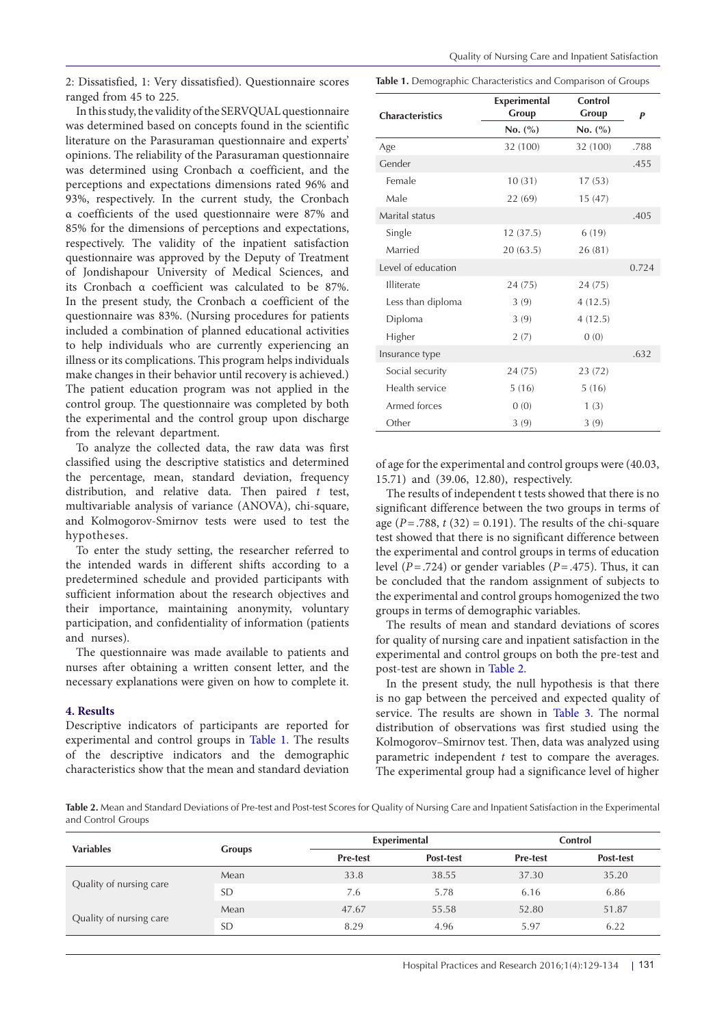2: Dissatisfied, 1: Very dissatisfied). Questionnaire scores ranged from 45 to 225.

In this study, the validity of the SERVQUAL questionnaire was determined based on concepts found in the scientific literature on the Parasuraman questionnaire and experts' opinions. The reliability of the Parasuraman questionnaire was determined using Cronbach α coefficient, and the perceptions and expectations dimensions rated 96% and 93%, respectively. In the current study, the Cronbach α coefficients of the used questionnaire were 87% and 85% for the dimensions of perceptions and expectations, respectively. The validity of the inpatient satisfaction questionnaire was approved by the Deputy of Treatment of Jondishapour University of Medical Sciences, and its Cronbach α coefficient was calculated to be 87%. In the present study, the Cronbach α coefficient of the questionnaire was 83%. (Nursing procedures for patients included a combination of planned educational activities to help individuals who are currently experiencing an illness or its complications. This program helps individuals make changes in their behavior until recovery is achieved.) The patient education program was not applied in the control group. The questionnaire was completed by both the experimental and the control group upon discharge from the relevant department.

To analyze the collected data, the raw data was first classified using the descriptive statistics and determined the percentage, mean, standard deviation, frequency distribution, and relative data. Then paired *t* test, multivariable analysis of variance (ANOVA), chi-square, and Kolmogorov-Smirnov tests were used to test the hypotheses.

To enter the study setting, the researcher referred to the intended wards in different shifts according to a predetermined schedule and provided participants with sufficient information about the research objectives and their importance, maintaining anonymity, voluntary participation, and confidentiality of information (patients and nurses).

The questionnaire was made available to patients and nurses after obtaining a written consent letter, and the necessary explanations were given on how to complete it.

## **4. Results**

Descriptive indicators of participants are reported for experimental and control groups in [Table 1.](#page-2-0) The results of the descriptive indicators and the demographic characteristics show that the mean and standard deviation <span id="page-2-0"></span>**Table 1.** Demographic Characteristics and Comparison of Groups

| <b>Characteristics</b> | <b>Experimental</b><br>Group | Control<br>Group | P     |
|------------------------|------------------------------|------------------|-------|
|                        | No. (%)                      | No. (%)          |       |
| Age                    | 32 (100)                     | 32 (100)         | .788  |
| Gender                 |                              |                  | .455  |
| Female                 | 10(31)                       | 17(53)           |       |
| Male                   | 22(69)                       | 15(47)           |       |
| Marital status         |                              |                  | .405  |
| Single                 | 12(37.5)                     | 6(19)            |       |
| Married                | 20(63.5)                     | 26(81)           |       |
| Level of education     |                              |                  | 0.724 |
| <b>Illiterate</b>      | 24(75)                       | 24 (75)          |       |
| Less than diploma      | 3(9)                         | 4(12.5)          |       |
| Diploma                | 3(9)                         | 4(12.5)          |       |
| Higher                 | 2(7)                         | 0(0)             |       |
| Insurance type         |                              |                  | .632  |
| Social security        | 24 (75)                      | 23(72)           |       |
| Health service         | 5(16)                        | 5(16)            |       |
| Armed forces           | 0(0)                         | 1(3)             |       |
| Other                  | 3(9)                         | 3(9)             |       |

of age for the experimental and control groups were (40.03, 15.71) and (39.06, 12.80), respectively.

The results of independent t tests showed that there is no significant difference between the two groups in terms of age ( $P = .788$ ,  $t(32) = 0.191$ ). The results of the chi-square test showed that there is no significant difference between the experimental and control groups in terms of education level (*P*=.724) or gender variables (*P*=.475). Thus, it can be concluded that the random assignment of subjects to the experimental and control groups homogenized the two groups in terms of demographic variables.

The results of mean and standard deviations of scores for quality of nursing care and inpatient satisfaction in the experimental and control groups on both the pre-test and post-test are shown in [Table 2.](#page-2-1)

In the present study, the null hypothesis is that there is no gap between the perceived and expected quality of service. The results are shown in [Table 3](#page-3-0). The normal distribution of observations was first studied using the Kolmogorov–Smirnov test. Then, data was analyzed using parametric independent *t* test to compare the averages. The experimental group had a significance level of higher

<span id="page-2-1"></span>**Table 2.** Mean and Standard Deviations of Pre-test and Post-test Scores for Quality of Nursing Care and Inpatient Satisfaction in the Experimental and Control Groups

| <b>Variables</b>        | <b>Groups</b> | Experimental    |           | Control         |                  |  |
|-------------------------|---------------|-----------------|-----------|-----------------|------------------|--|
|                         |               | <b>Pre-test</b> | Post-test | <b>Pre-test</b> | <b>Post-test</b> |  |
| Quality of nursing care | Mean          | 33.8            | 38.55     | 37.30           | 35.20            |  |
|                         | <b>SD</b>     | 7.6             | 5.78      | 6.16            | 6.86             |  |
| Quality of nursing care | Mean          | 47.67           | 55.58     | 52.80           | 51.87            |  |
|                         | <b>SD</b>     | 8.29            | 4.96      | 5.97            | 6.22             |  |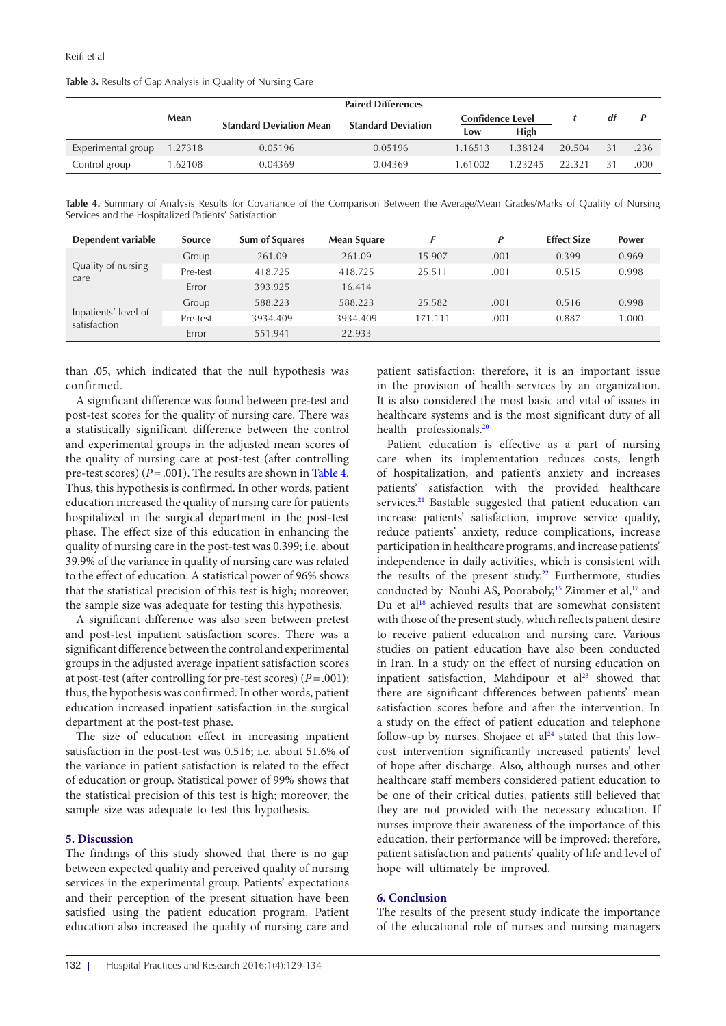<span id="page-3-0"></span>**Table 3.** Results of Gap Analysis in Quality of Nursing Care

|                    |         | <b>Paired Differences</b>      |                           |                         |         |        |    |      |
|--------------------|---------|--------------------------------|---------------------------|-------------------------|---------|--------|----|------|
|                    | Mean    | <b>Standard Deviation Mean</b> | <b>Standard Deviation</b> | <b>Confidence Level</b> |         |        | dt |      |
|                    |         |                                |                           | Low                     | High    |        |    |      |
| Experimental group | 1.27318 | 0.05196                        | 0.05196                   | 1.16513                 | 1.38124 | 20.504 | 31 | .236 |
| Control group      | 1.62108 | 0.04369                        | 0.04369                   | 1.61002                 | 1.23245 | 22.321 | 31 | .000 |

<span id="page-3-1"></span>**Table 4.** Summary of Analysis Results for Covariance of the Comparison Between the Average/Mean Grades/Marks of Quality of Nursing Services and the Hospitalized Patients' Satisfaction

| Dependent variable                   | <b>Source</b> | <b>Sum of Squares</b> | <b>Mean Square</b> |         | p    | <b>Effect Size</b> | Power |
|--------------------------------------|---------------|-----------------------|--------------------|---------|------|--------------------|-------|
| Quality of nursing<br>care           | Group         | 261.09                | 261.09             | 15.907  | .001 | 0.399              | 0.969 |
|                                      | Pre-test      | 418.725               | 418.725            | 25.511  | .001 | 0.515              | 0.998 |
|                                      | Error         | 393.925               | 16.414             |         |      |                    |       |
| Inpatients' level of<br>satisfaction | Group         | 588.223               | 588.223            | 25.582  | .001 | 0.516              | 0.998 |
|                                      | Pre-test      | 3934.409              | 3934.409           | 171.111 | .001 | 0.887              | 1.000 |
|                                      | Error         | 551.941               | 22.933             |         |      |                    |       |

than .05, which indicated that the null hypothesis was confirmed.

A significant difference was found between pre-test and post-test scores for the quality of nursing care. There was a statistically significant difference between the control and experimental groups in the adjusted mean scores of the quality of nursing care at post-test (after controlling pre-test scores) ( $P = .001$ ). The results are shown in [Table 4](#page-3-1). Thus, this hypothesis is confirmed. In other words, patient education increased the quality of nursing care for patients hospitalized in the surgical department in the post-test phase. The effect size of this education in enhancing the quality of nursing care in the post-test was 0.399; i.e. about 39.9% of the variance in quality of nursing care was related to the effect of education. A statistical power of 96% shows that the statistical precision of this test is high; moreover, the sample size was adequate for testing this hypothesis.

A significant difference was also seen between pretest and post-test inpatient satisfaction scores. There was a significant difference between the control and experimental groups in the adjusted average inpatient satisfaction scores at post-test (after controlling for pre-test scores) (*P*=.001); thus, the hypothesis was confirmed. In other words, patient education increased inpatient satisfaction in the surgical department at the post-test phase.

The size of education effect in increasing inpatient satisfaction in the post-test was 0.516; i.e. about 51.6% of the variance in patient satisfaction is related to the effect of education or group. Statistical power of 99% shows that the statistical precision of this test is high; moreover, the sample size was adequate to test this hypothesis.

#### **5. Discussion**

The findings of this study showed that there is no gap between expected quality and perceived quality of nursing services in the experimental group. Patients' expectations and their perception of the present situation have been satisfied using the patient education program. Patient education also increased the quality of nursing care and

patient satisfaction; therefore, it is an important issue in the provision of health services by an organization. It is also considered the most basic and vital of issues in healthcare systems and is the most significant duty of all health professionals.<sup>20</sup>

Patient education is effective as a part of nursing care when its implementation reduces costs, length of hospitalization, and patient's anxiety and increases patients' satisfaction with the provided healthcare services.<sup>[21](#page-5-2)</sup> Bastable suggested that patient education can increase patients' satisfaction, improve service quality, reduce patients' anxiety, reduce complications, increase participation in healthcare programs, and increase patients' independence in daily activities, which is consistent with the results of the present study.<sup>[22](#page-5-3)</sup> Furthermore, studies conducted by Nouhi AS, Pooraboly,<sup>15</sup> Zimmer et al,<sup>17</sup> and Du et al<sup>[18](#page-4-17)</sup> achieved results that are somewhat consistent with those of the present study, which reflects patient desire to receive patient education and nursing care. Various studies on patient education have also been conducted in Iran. In a study on the effect of nursing education on inpatient satisfaction, Mahdipour et  $al<sup>23</sup>$  showed that there are significant differences between patients' mean satisfaction scores before and after the intervention. In a study on the effect of patient education and telephone follow-up by nurses, Shojaee et  $al<sup>24</sup>$  stated that this lowcost intervention significantly increased patients' level of hope after discharge. Also, although nurses and other healthcare staff members considered patient education to be one of their critical duties, patients still believed that they are not provided with the necessary education. If nurses improve their awareness of the importance of this education, their performance will be improved; therefore, patient satisfaction and patients' quality of life and level of hope will ultimately be improved.

# **6. Conclusion**

The results of the present study indicate the importance of the educational role of nurses and nursing managers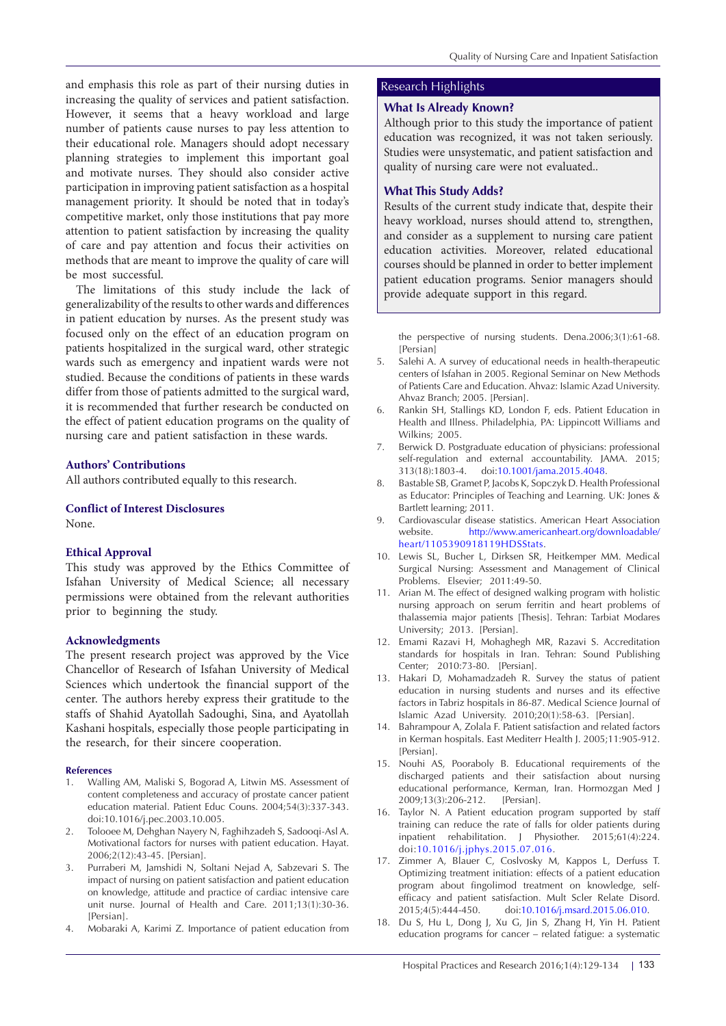and emphasis this role as part of their nursing duties in increasing the quality of services and patient satisfaction. However, it seems that a heavy workload and large number of patients cause nurses to pay less attention to their educational role. Managers should adopt necessary planning strategies to implement this important goal and motivate nurses. They should also consider active participation in improving patient satisfaction as a hospital management priority. It should be noted that in today's competitive market, only those institutions that pay more attention to patient satisfaction by increasing the quality of care and pay attention and focus their activities on methods that are meant to improve the quality of care will be most successful.

The limitations of this study include the lack of generalizability of the results to other wards and differences in patient education by nurses. As the present study was focused only on the effect of an education program on patients hospitalized in the surgical ward, other strategic wards such as emergency and inpatient wards were not studied. Because the conditions of patients in these wards differ from those of patients admitted to the surgical ward, it is recommended that further research be conducted on the effect of patient education programs on the quality of nursing care and patient satisfaction in these wards.

#### **Authors' Contributions**

All authors contributed equally to this research.

# **Conflict of Interest Disclosures**

None.

#### **Ethical Approval**

This study was approved by the Ethics Committee of Isfahan University of Medical Science; all necessary permissions were obtained from the relevant authorities prior to beginning the study.

#### **Acknowledgments**

The present research project was approved by the Vice Chancellor of Research of Isfahan University of Medical Sciences which undertook the financial support of the center. The authors hereby express their gratitude to the staffs of Shahid Ayatollah Sadoughi, Sina, and Ayatollah Kashani hospitals, especially those people participating in the research, for their sincere cooperation.

#### **References**

- <span id="page-4-0"></span>1. Walling AM, Maliski S, Bogorad A, Litwin MS. Assessment of content completeness and accuracy of prostate cancer patient education material. Patient Educ Couns. 2004;54(3):337-343. doi:10.1016/j.pec.2003.10.005.
- <span id="page-4-1"></span>2. Tolooee M, Dehghan Nayery N, Faghihzadeh S, Sadooqi‐Asl A. Motivational factors for nurses with patient education. Hayat. 2006;2(12):43-45. [Persian].
- <span id="page-4-2"></span>Purraberi M, Jamshidi N, Soltani Nejad A, Sabzevari S. The impact of nursing on patient satisfaction and patient education on knowledge, attitude and practice of cardiac intensive care unit nurse. Journal of Health and Care. 2011;13(1):30-36. [Persian]
- <span id="page-4-3"></span>4. Mobaraki A, Karimi Z. Importance of patient education from

# Research Highlights

#### **What Is Already Known?**

Although prior to this study the importance of patient education was recognized, it was not taken seriously. Studies were unsystematic, and patient satisfaction and quality of nursing care were not evaluated..

#### **What This Study Adds?**

Results of the current study indicate that, despite their heavy workload, nurses should attend to, strengthen, and consider as a supplement to nursing care patient education activities. Moreover, related educational courses should be planned in order to better implement patient education programs. Senior managers should provide adequate support in this regard.

<span id="page-4-4"></span>the perspective of nursing students. Dena.2006;3(1):61-68. [Persian]

- 5. Salehi A. A survey of educational needs in health-therapeutic centers of Isfahan in 2005. Regional Seminar on New Methods of Patients Care and Education. Ahvaz: Islamic Azad University. Ahvaz Branch; 2005. [Persian].
- <span id="page-4-5"></span>6. Rankin SH, Stallings KD, London F, eds. Patient Education in Health and Illness. Philadelphia, PA: Lippincott Williams and Wilkins; 2005.
- <span id="page-4-6"></span>7. Berwick D. Postgraduate education of physicians: professional self-regulation and external accountability. JAMA. 2015; 313(18):1803-4. doi[:10.1001/jama.2015.4048](http://dx.doi.org/10.1001/jama.2015.4048).
- <span id="page-4-7"></span>8. Bastable SB, Gramet P, Jacobs K, Sopczyk D. Health Professional as Educator: Principles of Teaching and Learning. UK: Jones & Bartlett learning; 2011.
- <span id="page-4-8"></span>9. Cardiovascular disease statistics. American Heart Association website. [http://www.americanheart.org/downloadable/](http://www.americanheart.org/downloadable/heart/1105390918119HDSStats) [heart/1105390918119HDSStats.](http://www.americanheart.org/downloadable/heart/1105390918119HDSStats)
- <span id="page-4-9"></span>10. Lewis SL, Bucher L, Dirksen SR, Heitkemper MM. Medical Surgical Nursing: Assessment and Management of Clinical Problems. Elsevier; 2011:49-50.
- <span id="page-4-10"></span>11. Arian M. The effect of designed walking program with holistic nursing approach on serum ferritin and heart problems of thalassemia major patients [Thesis]. Tehran: Tarbiat Modares University; 2013. [Persian].
- <span id="page-4-11"></span>12. Emami Razavi H, Mohaghegh MR, Razavi S. Accreditation standards for hospitals in Iran. Tehran: Sound Publishing Center; 2010:73-80. [Persian].
- <span id="page-4-12"></span>13. Hakari D, Mohamadzadeh R. Survey the status of patient education in nursing students and nurses and its effective factors in Tabriz hospitals in 86-87. Medical Science Journal of Islamic Azad University. 2010;20(1):58-63. [Persian].
- <span id="page-4-13"></span>14. Bahrampour A, Zolala F. Patient satisfaction and related factors in Kerman hospitals. East Mediterr Health J. 2005;11:905-912. [Persian].
- <span id="page-4-14"></span>15. Nouhi AS, Pooraboly B. Educational requirements of the discharged patients and their satisfaction about nursing educational performance, Kerman, Iran. Hormozgan Med J 2009;13(3):206-212. [Persian].
- <span id="page-4-15"></span>16. Taylor N. A Patient education program supported by staff training can reduce the rate of falls for older patients during inpatient rehabilitation. J Physiother. 2015;61(4):224. doi:[10.1016/j.jphys.2015.07.016](http://dx.doi.org/10.1016/j.jphys.2015.07.016).
- <span id="page-4-16"></span>17. Zimmer A, Blauer C, Coslvosky M, Kappos L, Derfuss T. Optimizing treatment initiation: effects of a patient education program about fingolimod treatment on knowledge, selfefficacy and patient satisfaction. Mult Scler Relate Disord. 2015;4(5):444-450. doi:[10.1016/j.msard.2015.06.010.](http://dx.doi.org/10.1016/j.msard.2015.06.010)
- <span id="page-4-17"></span>18. Du S, Hu L, Dong J, Xu G, Jin S, Zhang H, Yin H. Patient education programs for cancer – related fatigue: a systematic